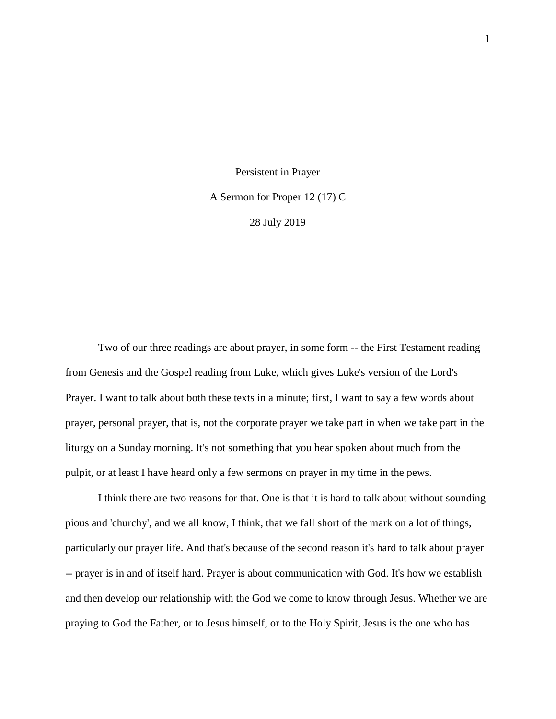Persistent in Prayer A Sermon for Proper 12 (17) C 28 July 2019

Two of our three readings are about prayer, in some form -- the First Testament reading from Genesis and the Gospel reading from Luke, which gives Luke's version of the Lord's Prayer. I want to talk about both these texts in a minute; first, I want to say a few words about prayer, personal prayer, that is, not the corporate prayer we take part in when we take part in the liturgy on a Sunday morning. It's not something that you hear spoken about much from the pulpit, or at least I have heard only a few sermons on prayer in my time in the pews.

I think there are two reasons for that. One is that it is hard to talk about without sounding pious and 'churchy', and we all know, I think, that we fall short of the mark on a lot of things, particularly our prayer life. And that's because of the second reason it's hard to talk about prayer -- prayer is in and of itself hard. Prayer is about communication with God. It's how we establish and then develop our relationship with the God we come to know through Jesus. Whether we are praying to God the Father, or to Jesus himself, or to the Holy Spirit, Jesus is the one who has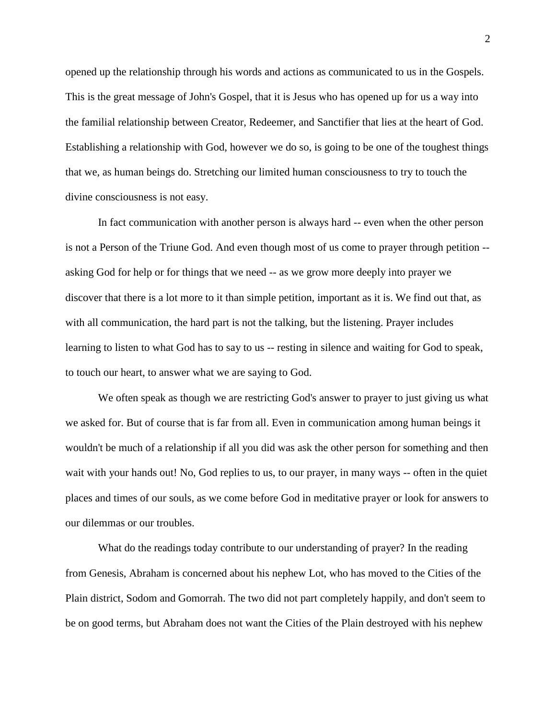opened up the relationship through his words and actions as communicated to us in the Gospels. This is the great message of John's Gospel, that it is Jesus who has opened up for us a way into the familial relationship between Creator, Redeemer, and Sanctifier that lies at the heart of God. Establishing a relationship with God, however we do so, is going to be one of the toughest things that we, as human beings do. Stretching our limited human consciousness to try to touch the divine consciousness is not easy.

In fact communication with another person is always hard -- even when the other person is not a Person of the Triune God. And even though most of us come to prayer through petition - asking God for help or for things that we need -- as we grow more deeply into prayer we discover that there is a lot more to it than simple petition, important as it is. We find out that, as with all communication, the hard part is not the talking, but the listening. Prayer includes learning to listen to what God has to say to us -- resting in silence and waiting for God to speak, to touch our heart, to answer what we are saying to God.

We often speak as though we are restricting God's answer to prayer to just giving us what we asked for. But of course that is far from all. Even in communication among human beings it wouldn't be much of a relationship if all you did was ask the other person for something and then wait with your hands out! No, God replies to us, to our prayer, in many ways -- often in the quiet places and times of our souls, as we come before God in meditative prayer or look for answers to our dilemmas or our troubles.

What do the readings today contribute to our understanding of prayer? In the reading from Genesis, Abraham is concerned about his nephew Lot, who has moved to the Cities of the Plain district, Sodom and Gomorrah. The two did not part completely happily, and don't seem to be on good terms, but Abraham does not want the Cities of the Plain destroyed with his nephew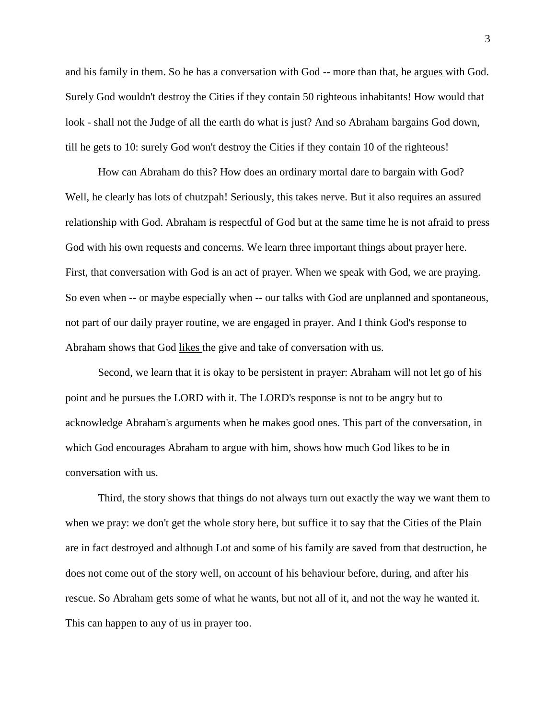and his family in them. So he has a conversation with God -- more than that, he argues with God. Surely God wouldn't destroy the Cities if they contain 50 righteous inhabitants! How would that look - shall not the Judge of all the earth do what is just? And so Abraham bargains God down, till he gets to 10: surely God won't destroy the Cities if they contain 10 of the righteous!

How can Abraham do this? How does an ordinary mortal dare to bargain with God? Well, he clearly has lots of chutzpah! Seriously, this takes nerve. But it also requires an assured relationship with God. Abraham is respectful of God but at the same time he is not afraid to press God with his own requests and concerns. We learn three important things about prayer here. First, that conversation with God is an act of prayer. When we speak with God, we are praying. So even when -- or maybe especially when -- our talks with God are unplanned and spontaneous, not part of our daily prayer routine, we are engaged in prayer. And I think God's response to Abraham shows that God likes the give and take of conversation with us.

Second, we learn that it is okay to be persistent in prayer: Abraham will not let go of his point and he pursues the LORD with it. The LORD's response is not to be angry but to acknowledge Abraham's arguments when he makes good ones. This part of the conversation, in which God encourages Abraham to argue with him, shows how much God likes to be in conversation with us.

Third, the story shows that things do not always turn out exactly the way we want them to when we pray: we don't get the whole story here, but suffice it to say that the Cities of the Plain are in fact destroyed and although Lot and some of his family are saved from that destruction, he does not come out of the story well, on account of his behaviour before, during, and after his rescue. So Abraham gets some of what he wants, but not all of it, and not the way he wanted it. This can happen to any of us in prayer too.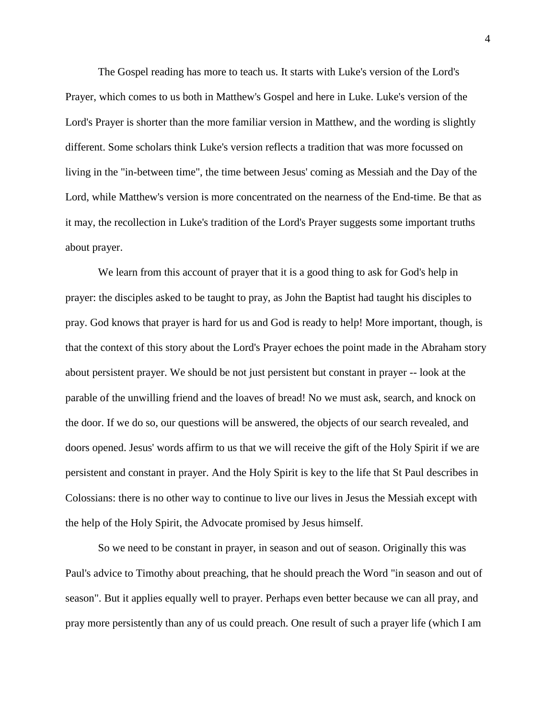The Gospel reading has more to teach us. It starts with Luke's version of the Lord's Prayer, which comes to us both in Matthew's Gospel and here in Luke. Luke's version of the Lord's Prayer is shorter than the more familiar version in Matthew, and the wording is slightly different. Some scholars think Luke's version reflects a tradition that was more focussed on living in the "in-between time", the time between Jesus' coming as Messiah and the Day of the Lord, while Matthew's version is more concentrated on the nearness of the End-time. Be that as it may, the recollection in Luke's tradition of the Lord's Prayer suggests some important truths about prayer.

We learn from this account of prayer that it is a good thing to ask for God's help in prayer: the disciples asked to be taught to pray, as John the Baptist had taught his disciples to pray. God knows that prayer is hard for us and God is ready to help! More important, though, is that the context of this story about the Lord's Prayer echoes the point made in the Abraham story about persistent prayer. We should be not just persistent but constant in prayer -- look at the parable of the unwilling friend and the loaves of bread! No we must ask, search, and knock on the door. If we do so, our questions will be answered, the objects of our search revealed, and doors opened. Jesus' words affirm to us that we will receive the gift of the Holy Spirit if we are persistent and constant in prayer. And the Holy Spirit is key to the life that St Paul describes in Colossians: there is no other way to continue to live our lives in Jesus the Messiah except with the help of the Holy Spirit, the Advocate promised by Jesus himself.

So we need to be constant in prayer, in season and out of season. Originally this was Paul's advice to Timothy about preaching, that he should preach the Word "in season and out of season". But it applies equally well to prayer. Perhaps even better because we can all pray, and pray more persistently than any of us could preach. One result of such a prayer life (which I am